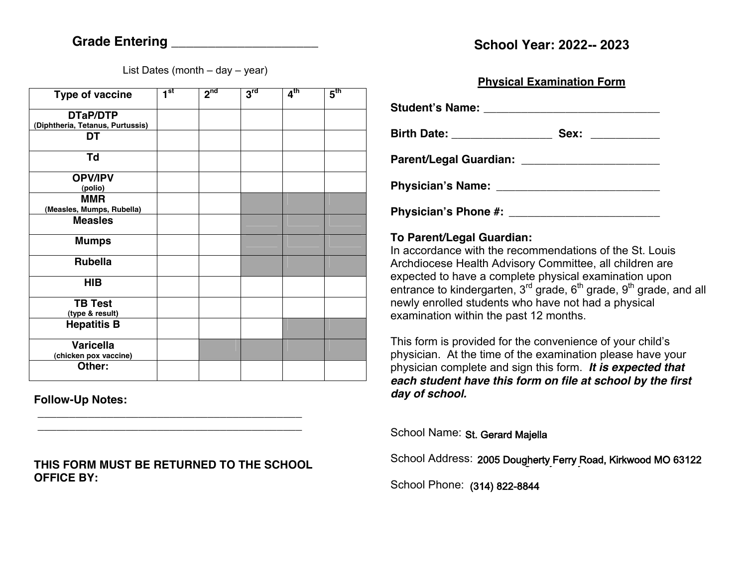List Dates (month  $-$  day  $-$  year)

| Type of vaccine                           | 1 <sup>st</sup> | 2 <sup>nd</sup> | 3 <sup>rd</sup> | 4 <sup>th</sup> | $5^{\text{th}}$ |
|-------------------------------------------|-----------------|-----------------|-----------------|-----------------|-----------------|
| DTaP/DTP                                  |                 |                 |                 |                 |                 |
| (Diphtheria, Tetanus, Purtussis)          |                 |                 |                 |                 |                 |
| <b>DT</b>                                 |                 |                 |                 |                 |                 |
| Td                                        |                 |                 |                 |                 |                 |
| <b>OPV/IPV</b>                            |                 |                 |                 |                 |                 |
| (polio)                                   |                 |                 |                 |                 |                 |
| <b>MMR</b>                                |                 |                 |                 |                 |                 |
| (Measles, Mumps, Rubella)                 |                 |                 |                 |                 |                 |
| <b>Measles</b>                            |                 |                 |                 |                 |                 |
| <b>Mumps</b>                              |                 |                 |                 |                 |                 |
| <b>Rubella</b>                            |                 |                 |                 |                 |                 |
| <b>HIB</b>                                |                 |                 |                 |                 |                 |
| <b>TB Test</b><br>(type & result)         |                 |                 |                 |                 |                 |
| <b>Hepatitis B</b>                        |                 |                 |                 |                 |                 |
| <b>Varicella</b><br>(chicken pox vaccine) |                 |                 |                 |                 |                 |
| Other:                                    |                 |                 |                 |                 |                 |

**Follow-Up Notes:** 

**THIS FORM MUST BE RETURNED TO THE SCHOOL OFFICE BY:** 

**\_\_\_\_\_\_\_\_\_\_\_\_\_\_\_\_\_\_\_\_\_\_\_\_\_\_\_\_\_\_\_\_\_\_\_\_\_\_\_\_\_\_ \_\_\_\_\_\_\_\_\_\_\_\_\_\_\_\_\_\_\_\_\_\_\_\_\_\_\_\_\_\_\_\_\_\_\_\_\_\_\_\_\_\_**

## **Physical Examination Form**

Student's Name: **With the Student's Name: Birth Date: \_\_\_\_\_\_\_\_\_\_\_\_\_\_\_\_ Sex: \_\_\_\_\_\_\_\_\_\_\_ Parent/Legal Guardian: \_\_\_\_\_\_\_\_\_\_\_\_\_\_\_\_\_\_\_\_\_\_** Physician's Name:

**Physician's Phone #:**  $\blacksquare$ 

## **To Parent/Legal Guardian:**  In accordance with the recommendations of the St. Louis

Archdiocese Health Advisory Committee, all children are expected to have a complete physical examination upon entrance to kindergarten,  $3<sup>rd</sup>$  grade,  $6<sup>th</sup>$  grade,  $9<sup>th</sup>$  grade, and all newly enrolled students who have not had a physical examination within the past 12 months.

This form is provided for the convenience of your child's physician. At the time of the examination please have your physician complete and sign this form.*It is expected that each student have this form on file at school by the first day of school.* 

School Name: St. Gerard Majella

School Address: 2005 Dougherty Ferry Road, Kirkwood MO 63122

School Phone: (314) 822-8844